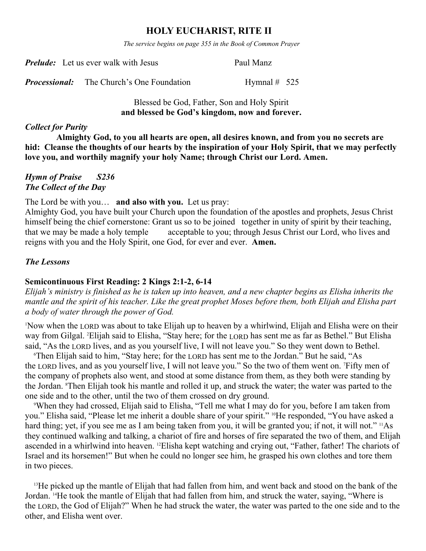# **HOLY EUCHARIST, RITE II**

*The service begins on page 355 in the Book of Common Prayer*

| <b><i>Prelude:</i></b> Let us ever walk with Jesus      | Paul Manz       |  |
|---------------------------------------------------------|-----------------|--|
| <b><i>Processional:</i></b> The Church's One Foundation | Hymnal $\#$ 525 |  |

#### Blessed be God, Father, Son and Holy Spirit **and blessed be God's kingdom, now and forever.**

#### *Collect for Purity*

**Almighty God, to you all hearts are open, all desires known, and from you no secrets are hid: Cleanse the thoughts of our hearts by the inspiration of your Holy Spirit, that we may perfectly love you, and worthily magnify your holy Name; through Christ our Lord. Amen.**

#### *Hymn of Praise S236 The Collect of the Day*

The Lord be with you… **and also with you.** Let us pray:

Almighty God, you have built your Church upon the foundation of the apostles and prophets, Jesus Christ himself being the chief cornerstone: Grant us so to be joined together in unity of spirit by their teaching, that we may be made a holy temple acceptable to you; through Jesus Christ our Lord, who lives and reigns with you and the Holy Spirit, one God, for ever and ever. **Amen.**

#### *The Lessons*

#### **Semicontinuous First Reading: 2 Kings 2:1-2, 6-14**

*Elijah's ministry is finished as he is taken up into heaven, and a new chapter begins as Elisha inherits the mantle and the spirit of his teacher. Like the great prophet Moses before them, both Elijah and Elisha part a body of water through the power of God.*

<sup>1</sup>Now when the LORD was about to take Elijah up to heaven by a whirlwind, Elijah and Elisha were on their way from Gilgal. 2Elijah said to Elisha, "Stay here; for the LORD has sent me as far as Bethel." But Elisha said, "As the LORD lives, and as you yourself live, I will not leave you." So they went down to Bethel.

<sup>6</sup>Then Elijah said to him, "Stay here; for the LORD has sent me to the Jordan." But he said, "As the LORD lives, and as you yourself live, I will not leave you." So the two of them went on. 7Fifty men of the company of prophets also went, and stood at some distance from them, as they both were standing by the Jordan. 8Then Elijah took his mantle and rolled it up, and struck the water; the water was parted to the one side and to the other, until the two of them crossed on dry ground.

<sup>9</sup>When they had crossed, Elijah said to Elisha, "Tell me what I may do for you, before I am taken from you." Elisha said, "Please let me inherit a double share of your spirit." 10He responded, "You have asked a hard thing; yet, if you see me as I am being taken from you, it will be granted you; if not, it will not." <sup>11</sup>As they continued walking and talking, a chariot of fire and horses of fire separated the two of them, and Elijah ascended in a whirlwind into heaven. 12Elisha kept watching and crying out, "Father, father! The chariots of Israel and its horsemen!" But when he could no longer see him, he grasped his own clothes and tore them in two pieces.

<sup>13</sup>He picked up the mantle of Elijah that had fallen from him, and went back and stood on the bank of the Jordan. 14He took the mantle of Elijah that had fallen from him, and struck the water, saying, "Where is the LORD, the God of Elijah?" When he had struck the water, the water was parted to the one side and to the other, and Elisha went over.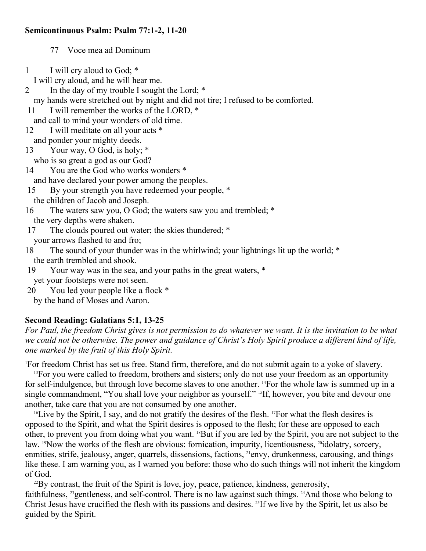#### **Semicontinuous Psalm: Psalm 77:1-2, 11-20**

- 77 Voce mea ad Dominum
- 1 I will cry aloud to God;  $*$

I will cry aloud, and he will hear me.

2 In the day of my trouble I sought the Lord; \* my hands were stretched out by night and did not tire; I refused to be comforted.

11 I will remember the works of the LORD,  $*$ 

- and call to mind your wonders of old time.
- 12 I will meditate on all your acts  $*$ and ponder your mighty deeds.
- 13 Your way, O God, is holy; \* who is so great a god as our God?
- 14 You are the God who works wonders \*
- and have declared your power among the peoples.
- 15 By your strength you have redeemed your people, \* the children of Jacob and Joseph.
- 16 The waters saw you, O God; the waters saw you and trembled; \* the very depths were shaken.
- 17 The clouds poured out water; the skies thundered; \* your arrows flashed to and fro;
- 18 The sound of your thunder was in the whirlwind; your lightnings lit up the world; \* the earth trembled and shook.
- 19 Your way was in the sea, and your paths in the great waters, \* yet your footsteps were not seen.
- 20 You led your people like a flock \* by the hand of Moses and Aaron.

# **Second Reading: Galatians 5:1, 13-25**

*For Paul, the freedom Christ gives is not permission to do whatever we want. It is the invitation to be what we could not be otherwise. The power and guidance of Christ's Holy Spirit produce a different kind of life, one marked by the fruit of this Holy Spirit.*

<sup>1</sup>For freedom Christ has set us free. Stand firm, therefore, and do not submit again to a yoke of slavery.

<sup>13</sup>For you were called to freedom, brothers and sisters; only do not use your freedom as an opportunity for self-indulgence, but through love become slaves to one another. <sup>14</sup>For the whole law is summed up in a single commandment, "You shall love your neighbor as yourself." <sup>15</sup>If, however, you bite and devour one another, take care that you are not consumed by one another.

 $16$ Live by the Spirit, I say, and do not gratify the desires of the flesh. <sup>17</sup>For what the flesh desires is opposed to the Spirit, and what the Spirit desires is opposed to the flesh; for these are opposed to each other, to prevent you from doing what you want. 18But if you are led by the Spirit, you are not subject to the law. <sup>19</sup>Now the works of the flesh are obvious: fornication, impurity, licentiousness, <sup>20</sup>idolatry, sorcery, enmities, strife, jealousy, anger, quarrels, dissensions, factions, 21envy, drunkenness, carousing, and things like these. I am warning you, as I warned you before: those who do such things will not inherit the kingdom of God.

 $22\text{By contrast, the fruit of the Spirit is love, joy, peace, patience, kindness, generosity,$ faithfulness, 23gentleness, and self-control. There is no law against such things. 24And those who belong to Christ Jesus have crucified the flesh with its passions and desires. 25If we live by the Spirit, let us also be guided by the Spirit.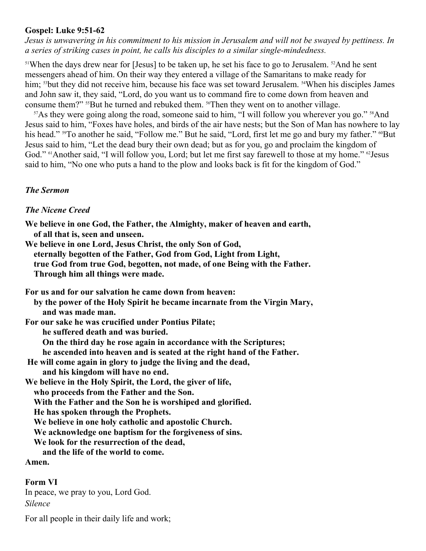## **Gospel: Luke 9:51-62**

*Jesus is unwavering in his commitment to his mission in Jerusalem and will not be swayed by pettiness. In a series of striking cases in point, he calls his disciples to a similar single-mindedness.*

<sup>51</sup>When the days drew near for [Jesus] to be taken up, he set his face to go to Jerusalem. 52And he sent messengers ahead of him. On their way they entered a village of the Samaritans to make ready for him; <sup>53</sup>but they did not receive him, because his face was set toward Jerusalem. <sup>54</sup>When his disciples James and John saw it, they said, "Lord, do you want us to command fire to come down from heaven and consume them?" 55But he turned and rebuked them. 56Then they went on to another village.

<sup>57</sup>As they were going along the road, someone said to him, "I will follow you wherever you go." <sup>58</sup>And Jesus said to him, "Foxes have holes, and birds of the air have nests; but the Son of Man has nowhere to lay his head." <sup>59</sup>To another he said, "Follow me." But he said, "Lord, first let me go and bury my father." <sup>60</sup>But Jesus said to him, "Let the dead bury their own dead; but as for you, go and proclaim the kingdom of God." <sup>61</sup>Another said, "I will follow you, Lord; but let me first say farewell to those at my home." <sup>62</sup>Jesus said to him, "No one who puts a hand to the plow and looks back is fit for the kingdom of God."

#### *The Sermon*

#### *The Nicene Creed*

**We believe in one God, the Father, the Almighty, maker of heaven and earth, of all that is, seen and unseen. We believe in one Lord, Jesus Christ, the only Son of God, eternally begotten of the Father, God from God, Light from Light, true God from true God, begotten, not made, of one Being with the Father. Through him all things were made. For us and for our salvation he came down from heaven: by the power of the Holy Spirit he became incarnate from the Virgin Mary, and was made man. For our sake he was crucified under Pontius Pilate; he suffered death and was buried. On the third day he rose again in accordance with the Scriptures; he ascended into heaven and is seated at the right hand of the Father. He will come again in glory to judge the living and the dead, and his kingdom will have no end. We believe in the Holy Spirit, the Lord, the giver of life, who proceeds from the Father and the Son. With the Father and the Son he is worshiped and glorified. He has spoken through the Prophets. We believe in one holy catholic and apostolic Church. We acknowledge one baptism for the forgiveness of sins. We look for the resurrection of the dead, and the life of the world to come. Amen.**

## **Form VI**

In peace, we pray to you, Lord God. *Silence*

For all people in their daily life and work;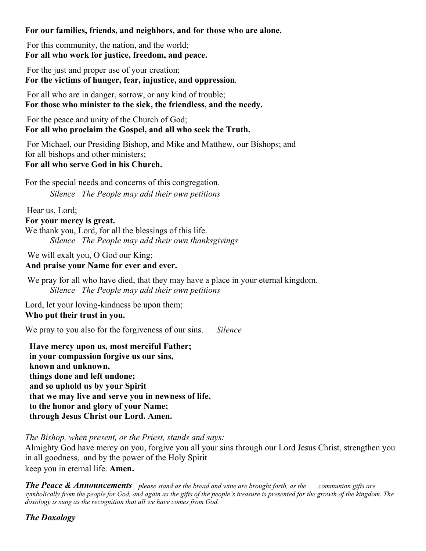## **For our families, friends, and neighbors, and for those who are alone.**

For this community, the nation, and the world; **For all who work for justice, freedom, and peace.**

For the just and proper use of your creation; **For the victims of hunger, fear, injustice, and oppression***.*

For all who are in danger, sorrow, or any kind of trouble; **For those who minister to the sick, the friendless, and the needy.**

For the peace and unity of the Church of God; **For all who proclaim the Gospel, and all who seek the Truth.**

For Michael, our Presiding Bishop, and Mike and Matthew, our Bishops; and for all bishops and other ministers; **For all who serve God in his Church.**

For the special needs and concerns of this congregation. *Silence The People may add their own petitions*

Hear us, Lord; **For your mercy is great.** We thank you, Lord, for all the blessings of this life. *Silence The People may add their own thanksgivings*

## We will exalt you, O God our King; **And praise your Name for ever and ever.**

We pray for all who have died, that they may have a place in your eternal kingdom. *Silence The People may add their own petitions*

Lord, let your loving-kindness be upon them; **Who put their trust in you.**

We pray to you also for the forgiveness of our sins. *Silence*

 **Have mercy upon us, most merciful Father; in your compassion forgive us our sins, known and unknown, things done and left undone; and so uphold us by your Spirit that we may live and serve you in newness of life, to the honor and glory of your Name; through Jesus Christ our Lord. Amen.**

*The Bishop, when present, or the Priest, stands and says:*  Almighty God have mercy on you, forgive you all your sins through our Lord Jesus Christ, strengthen you in all goodness, and by the power of the Holy Spirit keep you in eternal life. **Amen.**

*The Peace & Announcements please stand as the bread and wine are brought forth, as the communion gifts are symbolically from the people for God, and again as the gifts of the people's treasure is presented for the growth of the kingdom. The doxology is sung as the recognition that all we have comes from God.* 

*The Doxology*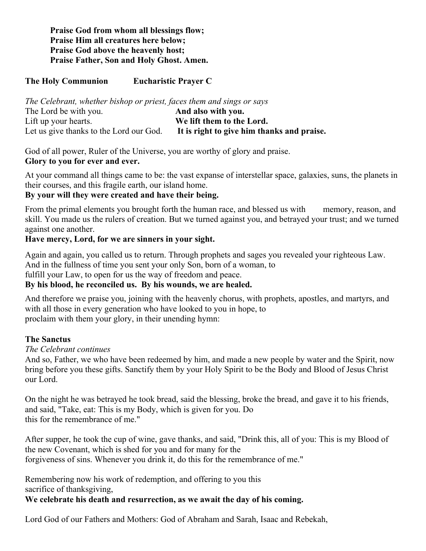**Praise God from whom all blessings flow; Praise Him all creatures here below; Praise God above the heavenly host; Praise Father, Son and Holy Ghost. Amen.** 

# **The Holy Communion Eucharistic Prayer C**

*The Celebrant, whether bishop or priest, faces them and sings or says* The Lord be with you. **And also with you.** Lift up your hearts. **We lift them to the Lord.** Let us give thanks to the Lord our God. **It is right to give him thanks and praise.**

God of all power, Ruler of the Universe, you are worthy of glory and praise. **Glory to you for ever and ever.**

At your command all things came to be: the vast expanse of interstellar space, galaxies, suns, the planets in their courses, and this fragile earth, our island home.

## **By your will they were created and have their being.**

From the primal elements you brought forth the human race, and blessed us with memory, reason, and skill. You made us the rulers of creation. But we turned against you, and betrayed your trust; and we turned against one another.

# **Have mercy, Lord, for we are sinners in your sight.**

Again and again, you called us to return. Through prophets and sages you revealed your righteous Law. And in the fullness of time you sent your only Son, born of a woman, to

fulfill your Law, to open for us the way of freedom and peace.

# **By his blood, he reconciled us. By his wounds, we are healed.**

And therefore we praise you, joining with the heavenly chorus, with prophets, apostles, and martyrs, and with all those in every generation who have looked to you in hope, to proclaim with them your glory, in their unending hymn:

## **The Sanctus**

## *The Celebrant continues*

And so, Father, we who have been redeemed by him, and made a new people by water and the Spirit, now bring before you these gifts. Sanctify them by your Holy Spirit to be the Body and Blood of Jesus Christ our Lord.

On the night he was betrayed he took bread, said the blessing, broke the bread, and gave it to his friends, and said, "Take, eat: This is my Body, which is given for you. Do this for the remembrance of me."

After supper, he took the cup of wine, gave thanks, and said, "Drink this, all of you: This is my Blood of the new Covenant, which is shed for you and for many for the forgiveness of sins. Whenever you drink it, do this for the remembrance of me."

Remembering now his work of redemption, and offering to you this sacrifice of thanksgiving,

# **We celebrate his death and resurrection, as we await the day of his coming.**

Lord God of our Fathers and Mothers: God of Abraham and Sarah, Isaac and Rebekah,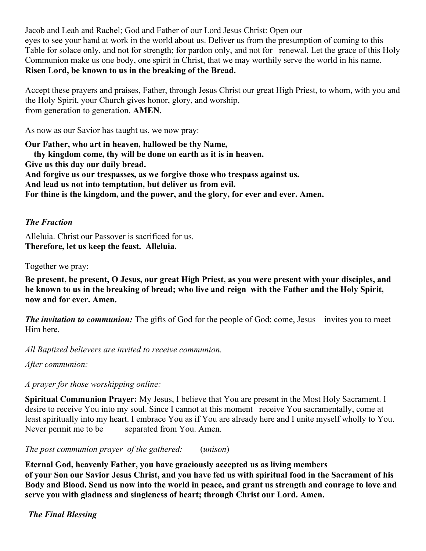Jacob and Leah and Rachel; God and Father of our Lord Jesus Christ: Open our eyes to see your hand at work in the world about us. Deliver us from the presumption of coming to this Table for solace only, and not for strength; for pardon only, and not for renewal. Let the grace of this Holy Communion make us one body, one spirit in Christ, that we may worthily serve the world in his name. **Risen Lord, be known to us in the breaking of the Bread.**

Accept these prayers and praises, Father, through Jesus Christ our great High Priest, to whom, with you and the Holy Spirit, your Church gives honor, glory, and worship, from generation to generation. **AMEN.**

As now as our Savior has taught us, we now pray:

**Our Father, who art in heaven, hallowed be thy Name, thy kingdom come, thy will be done on earth as it is in heaven. Give us this day our daily bread. And forgive us our trespasses, as we forgive those who trespass against us. And lead us not into temptation, but deliver us from evil. For thine is the kingdom, and the power, and the glory, for ever and ever. Amen.** 

# *The Fraction*

Alleluia. Christ our Passover is sacrificed for us. **Therefore, let us keep the feast. Alleluia.**

Together we pray:

**Be present, be present, O Jesus, our great High Priest, as you were present with your disciples, and be known to us in the breaking of bread; who live and reign with the Father and the Holy Spirit, now and for ever. Amen.** 

*The invitation to communion:* The gifts of God for the people of God: come, Jesus invites you to meet Him here.

*All Baptized believers are invited to receive communion.* 

*After communion:* 

## *A prayer for those worshipping online:*

**Spiritual Communion Prayer:** My Jesus, I believe that You are present in the Most Holy Sacrament. I desire to receive You into my soul. Since I cannot at this moment receive You sacramentally, come at least spiritually into my heart. I embrace You as if You are already here and I unite myself wholly to You. Never permit me to be separated from You. Amen.

*The post communion prayer of the gathered:* (*unison*)

**Eternal God, heavenly Father, you have graciously accepted us as living members of your Son our Savior Jesus Christ, and you have fed us with spiritual food in the Sacrament of his Body and Blood. Send us now into the world in peace, and grant us strength and courage to love and serve you with gladness and singleness of heart; through Christ our Lord. Amen.** 

*The Final Blessing*